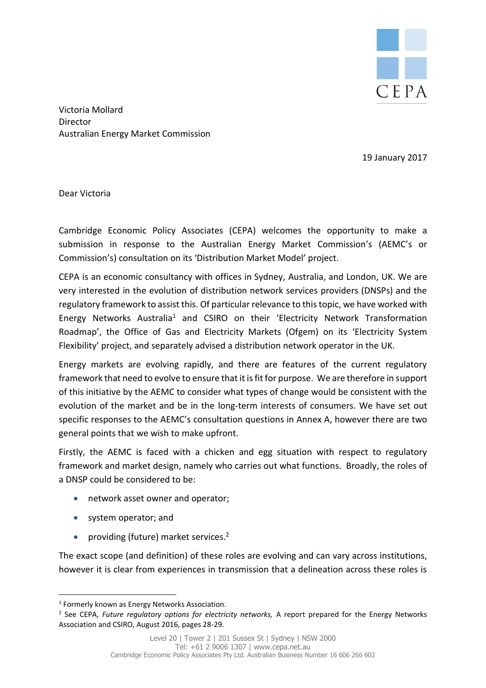

Victoria Mollard Director Australian Energy Market Commission

19 January 2017

Dear Victoria

Cambridge Economic Policy Associates (CEPA) welcomes the opportunity to make a submission in response to the Australian Energy Market Commission's (AEMC's or Commission's) consultation on its 'Distribution Market Model' project.

CEPA is an economic consultancy with offices in Sydney, Australia, and London, UK. We are very interested in the evolution of distribution network services providers (DNSPs) and the regulatory framework to assist this. Of particular relevance to this topic, we have worked with Energy Networks Australia<sup>1</sup> and CSIRO on their 'Electricity Network Transformation Roadmap', the Office of Gas and Electricity Markets (Ofgem) on its 'Electricity System Flexibility' project, and separately advised a distribution network operator in the UK.

Energy markets are evolving rapidly, and there are features of the current regulatory framework that need to evolve to ensure that it is fit for purpose. We are therefore in support of this initiative by the AEMC to consider what types of change would be consistent with the evolution of the market and be in the long-term interests of consumers. We have set out specific responses to the AEMC's consultation questions in Annex A, however there are two general points that we wish to make upfront.

Firstly, the AEMC is faced with a chicken and egg situation with respect to regulatory framework and market design, namely who carries out what functions. Broadly, the roles of a DNSP could be considered to be:

- network asset owner and operator;
- system operator; and

1

• providing (future) market services.<sup>2</sup>

The exact scope (and definition) of these roles are evolving and can vary across institutions, however it is clear from experiences in transmission that a delineation across these roles is

<sup>&</sup>lt;sup>1</sup> Formerly known as Energy Networks Association.

<sup>2</sup> See CEPA, *Future regulatory options for electricity networks,* A report prepared for the Energy Networks Association and CSIRO, August 2016, pages 28-29.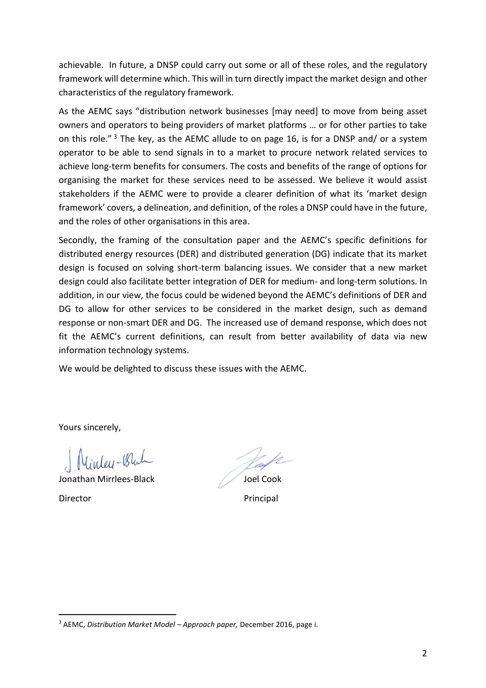achievable. In future, a DNSP could carry out some or all of these roles, and the regulatory framework will determine which. This will in turn directly impact the market design and other characteristics of the regulatory framework.

As the AEMC says "distribution network businesses [may need] to move from being asset owners and operators to being providers of market platforms … or for other parties to take on this role." <sup>3</sup> The key, as the AEMC allude to on page 16, is for a DNSP and/ or a system operator to be able to send signals in to a market to procure network related services to achieve long-term benefits for consumers. The costs and benefits of the range of options for organising the market for these services need to be assessed. We believe it would assist stakeholders if the AEMC were to provide a clearer definition of what its 'market design framework' covers, a delineation, and definition, of the roles a DNSP could have in the future, and the roles of other organisations in this area.

Secondly, the framing of the consultation paper and the AEMC's specific definitions for distributed energy resources (DER) and distributed generation (DG) indicate that its market design is focused on solving short-term balancing issues. We consider that a new market design could also facilitate better integration of DER for medium- and long-term solutions. In addition, in our view, the focus could be widened beyond the AEMC's definitions of DER and DG to allow for other services to be considered in the market design, such as demand response or non-smart DER and DG. The increased use of demand response, which does not fit the AEMC's current definitions, can result from better availability of data via new information technology systems.

We would be delighted to discuss these issues with the AEMC.

Yours sincerely,

1

Nintey-Black

Jonathan Mirrlees-Black Joel Cook Director **Principal** 

<sup>3</sup> AEMC, *Distribution Market Model – Approach paper,* December 2016, page i.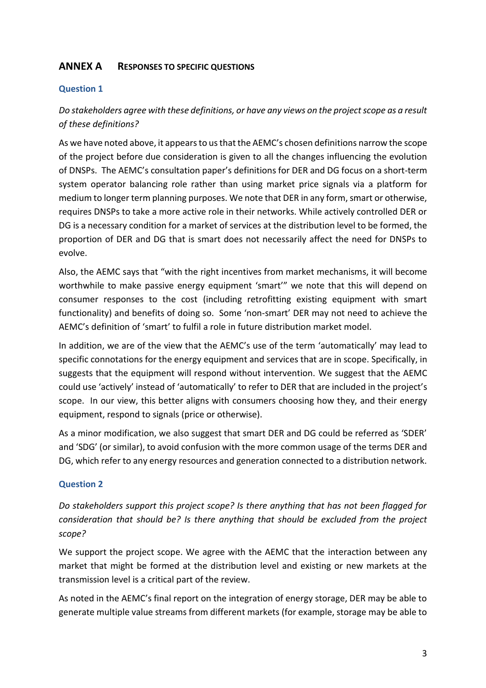# **ANNEX A RESPONSES TO SPECIFIC QUESTIONS**

#### **Question 1**

# *Do stakeholders agree with these definitions, or have any views on the project scope as a result of these definitions?*

As we have noted above, it appears to us that the AEMC's chosen definitions narrow the scope of the project before due consideration is given to all the changes influencing the evolution of DNSPs. The AEMC's consultation paper's definitions for DER and DG focus on a short-term system operator balancing role rather than using market price signals via a platform for medium to longer term planning purposes. We note that DER in any form, smart or otherwise, requires DNSPs to take a more active role in their networks. While actively controlled DER or DG is a necessary condition for a market of services at the distribution level to be formed, the proportion of DER and DG that is smart does not necessarily affect the need for DNSPs to evolve.

Also, the AEMC says that "with the right incentives from market mechanisms, it will become worthwhile to make passive energy equipment 'smart'" we note that this will depend on consumer responses to the cost (including retrofitting existing equipment with smart functionality) and benefits of doing so. Some 'non-smart' DER may not need to achieve the AEMC's definition of 'smart' to fulfil a role in future distribution market model.

In addition, we are of the view that the AEMC's use of the term 'automatically' may lead to specific connotations for the energy equipment and services that are in scope. Specifically, in suggests that the equipment will respond without intervention. We suggest that the AEMC could use 'actively' instead of 'automatically' to refer to DER that are included in the project's scope. In our view, this better aligns with consumers choosing how they, and their energy equipment, respond to signals (price or otherwise).

As a minor modification, we also suggest that smart DER and DG could be referred as 'SDER' and 'SDG' (or similar), to avoid confusion with the more common usage of the terms DER and DG, which refer to any energy resources and generation connected to a distribution network.

### **Question 2**

*Do stakeholders support this project scope? Is there anything that has not been flagged for consideration that should be? Is there anything that should be excluded from the project scope?*

We support the project scope. We agree with the AEMC that the interaction between any market that might be formed at the distribution level and existing or new markets at the transmission level is a critical part of the review.

As noted in the AEMC's final report on the integration of energy storage, DER may be able to generate multiple value streams from different markets (for example, storage may be able to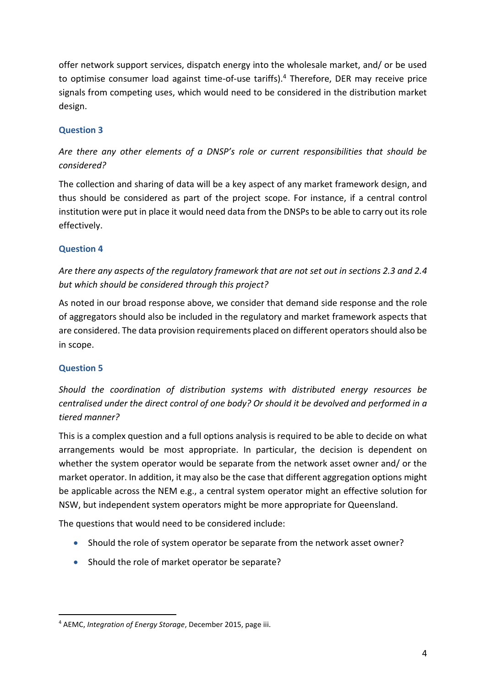offer network support services, dispatch energy into the wholesale market, and/ or be used to optimise consumer load against time-of-use tariffs).<sup>4</sup> Therefore, DER may receive price signals from competing uses, which would need to be considered in the distribution market design.

## **Question 3**

# *Are there any other elements of a DNSP's role or current responsibilities that should be considered?*

The collection and sharing of data will be a key aspect of any market framework design, and thus should be considered as part of the project scope. For instance, if a central control institution were put in place it would need data from the DNSPs to be able to carry out its role effectively.

### **Question 4**

*Are there any aspects of the regulatory framework that are not set out in sections 2.3 and 2.4 but which should be considered through this project?*

As noted in our broad response above, we consider that demand side response and the role of aggregators should also be included in the regulatory and market framework aspects that are considered. The data provision requirements placed on different operators should also be in scope.

## **Question 5**

*Should the coordination of distribution systems with distributed energy resources be centralised under the direct control of one body? Or should it be devolved and performed in a tiered manner?*

This is a complex question and a full options analysis is required to be able to decide on what arrangements would be most appropriate. In particular, the decision is dependent on whether the system operator would be separate from the network asset owner and/ or the market operator. In addition, it may also be the case that different aggregation options might be applicable across the NEM e.g., a central system operator might an effective solution for NSW, but independent system operators might be more appropriate for Queensland.

The questions that would need to be considered include:

- Should the role of system operator be separate from the network asset owner?
- Should the role of market operator be separate?

<sup>1</sup> <sup>4</sup> AEMC, *Integration of Energy Storage*, December 2015, page iii.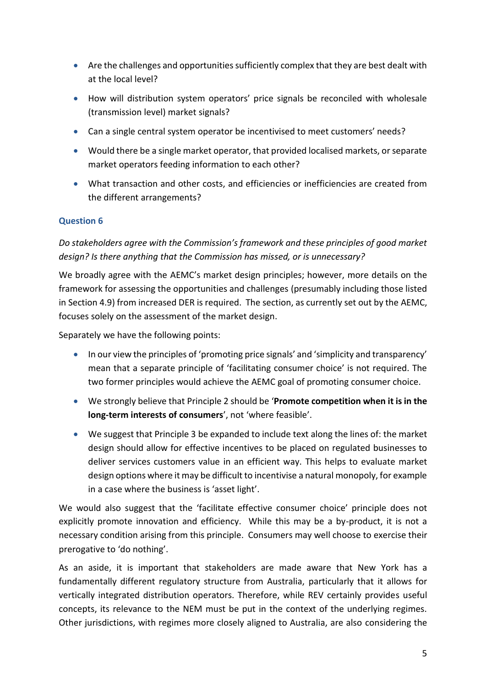- Are the challenges and opportunities sufficiently complex that they are best dealt with at the local level?
- How will distribution system operators' price signals be reconciled with wholesale (transmission level) market signals?
- Can a single central system operator be incentivised to meet customers' needs?
- Would there be a single market operator, that provided localised markets, or separate market operators feeding information to each other?
- What transaction and other costs, and efficiencies or inefficiencies are created from the different arrangements?

### **Question 6**

*Do stakeholders agree with the Commission's framework and these principles of good market design? Is there anything that the Commission has missed, or is unnecessary?*

We broadly agree with the AEMC's market design principles; however, more details on the framework for assessing the opportunities and challenges (presumably including those listed in Section 4.9) from increased DER is required. The section, as currently set out by the AEMC, focuses solely on the assessment of the market design.

Separately we have the following points:

- In our view the principles of 'promoting price signals' and 'simplicity and transparency' mean that a separate principle of 'facilitating consumer choice' is not required. The two former principles would achieve the AEMC goal of promoting consumer choice.
- We strongly believe that Principle 2 should be '**Promote competition when it is in the long-term interests of consumers**', not 'where feasible'.
- We suggest that Principle 3 be expanded to include text along the lines of: the market design should allow for effective incentives to be placed on regulated businesses to deliver services customers value in an efficient way. This helps to evaluate market design options where it may be difficult to incentivise a natural monopoly, for example in a case where the business is 'asset light'.

We would also suggest that the 'facilitate effective consumer choice' principle does not explicitly promote innovation and efficiency. While this may be a by-product, it is not a necessary condition arising from this principle. Consumers may well choose to exercise their prerogative to 'do nothing'.

As an aside, it is important that stakeholders are made aware that New York has a fundamentally different regulatory structure from Australia, particularly that it allows for vertically integrated distribution operators. Therefore, while REV certainly provides useful concepts, its relevance to the NEM must be put in the context of the underlying regimes. Other jurisdictions, with regimes more closely aligned to Australia, are also considering the